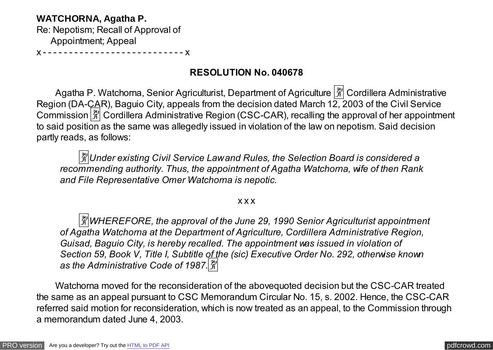## **WATCHORNA, Agatha P.**

Re: Nepotism; Recall of Approval of Appointment; Appeal

x - - - - - - - - - - - - - - - - - - - - - - - - - - - x

# **RESOLUTION No. 040678**

Agatha P. Watchorna, Senior Agriculturist, Department of Agriculture  $\left[\frac{\mathfrak{B}}{\mathfrak{B}}\right]$  Cordillera Administrative Region (DA-CAR), Baguio City, appeals from the decision dated March 12, 2003 of the Civil Service Commission  $\frac{3}{2}$  Cordillera Administrative Region (CSC-CAR), recalling the approval of her appointment to said position as the same was allegedly issued in violation of the law on nepotism. Said decision partly reads, as follows:

�*Under existing Civil Service Law and Rules, the Selection Board is considered a recommending authority. Thus, the appointment of Agatha Watchorna, wife of then Rank and File Representative Omer Watchorna is nepotic.*

## x x x

�*WHEREFORE, the approval of the June 29, 1990 Senior Agriculturist appointment of Agatha Watchorna at the Department of Agriculture, Cordillera Administrative Region, Guisad, Baguio City, is hereby recalled. The appointment was issued in violation of Section 59, Book V, Title I, Subtitle of the (sic) Executive Order No. 292, otherwise known as the Administrative Code of 1987.*�

 Watchorna moved for the reconsideration of the abovequoted decision but the CSC-CAR treated the same as an appeal pursuant to CSC Memorandum Circular No. 15, s. 2002. Hence, the CSC-CAR referred said motion for reconsideration, which is now treated as an appeal, to the Commission through a memorandum dated June 4, 2003.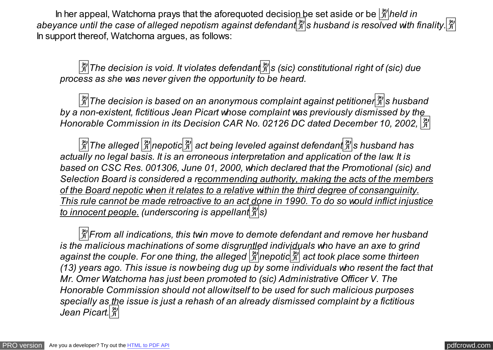In her appeal, Watchorna prays that the aforequoted decision be set aside or be  $\frac{\alpha}{\beta}$  held in abeyance until the case of alleged nepotism against defendant  $\frac{29}{41}$ s husband is resolved with finality.  $\frac{29}{41}$ In support thereof, Watchorna argues, as follows:

�*The decision is void. It violates defendant*�*s (sic) constitutional right of (sic) due process as she was never given the opportunity to be heard.* 

�*The decision is based on an anonymous complaint against petitioner*�*s husband by a non-existent, fictitious Jean Picart whose complaint was previously dismissed by the Honorable Commission in its Decision CAR No. 02126 DC dated December 10, 2002,*  $\frac{129}{13}$ 

�*The alleged* �*nepotic*� *act being leveled against defendant*�*s husband has actually no legal basis. It is an erroneous interpretation and application of the law. It is based on CSC Res. 001306, June 01, 2000, which declared that the Promotional (sic) and Selection Board is considered a recommending authority, making the acts of the members of the Board nepotic when it relates to a relative within the third degree of consanguinity. This rule cannot be made retroactive to an act done in 1990. To do so would inflict injustice to innocent people. (underscoring is appellant*�*s)* 

 $\frac{3}{2}$ *From all indications, this twin move to demote defendant and remove her husband is the malicious machinations of some disgruntled individuals who have an axe to grind against the couple. For one thing, the alleged* �*nepotic*� *act took place some thirteen (13) years ago. This issue is now being dug up by some individuals who resent the fact that Mr. Omer Watchorna has just been promoted to (sic) Administrative Officer V. The Honorable Commission should not allow itself to be used for such malicious purposes specially as the issue is just a rehash of an already dismissed complaint by a fictitious Jean Picart.*�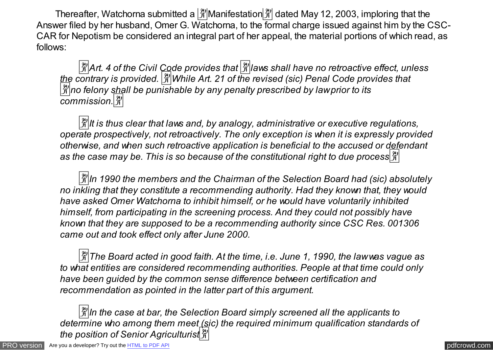Thereafter, Watchorna submitted a  $\frac{3}{4}$  Manifestation  $\frac{3}{4}$  dated May 12, 2003, imploring that the Answer filed by her husband, Omer G. Watchorna, to the formal charge issued against him by the CSC-CAR for Nepotism be considered an integral part of her appeal, the material portions of which read, as follows:

�*Art. 4 of the Civil Code provides that* �*laws shall have no retroactive effect, unless the contrary is provided.* �*While Art. 21 of the revised (sic) Penal Code provides that* �*no felony shall be punishable by any penalty prescribed by law prior to its commission.*�

 $\frac{|\mathfrak{X}|}{|\mathfrak{X}|}$  it is thus clear that laws and, by analogy, administrative or executive regulations, *operate prospectively, not retroactively. The only exception is when it is expressly provided otherwise, and when such retroactive application is beneficial to the accused or defendant as the case may be. This is so because of the constitutional right to due process*�

 $\frac{3}{2}$ ln 1990 the members and the Chairman of the Selection Board had (sic) absolutely *no inkling that they constitute a recommending authority. Had they known that, they would have asked Omer Watchorna to inhibit himself, or he would have voluntarily inhibited himself, from participating in the screening process. And they could not possibly have known that they are supposed to be a recommending authority since CSC Res. 001306 came out and took effect only after June 2000.* 

�*The Board acted in good faith. At the time, i.e. June 1, 1990, the law was vague as to what entities are considered recommending authorities. People at that time could only have been guided by the common sense difference between certification and recommendation as pointed in the latter part of this argument.* 

�*In the case at bar, the Selection Board simply screened all the applicants to determine who among them meet (sic) the required minimum qualification standards of the position of Senior Agriculturist*�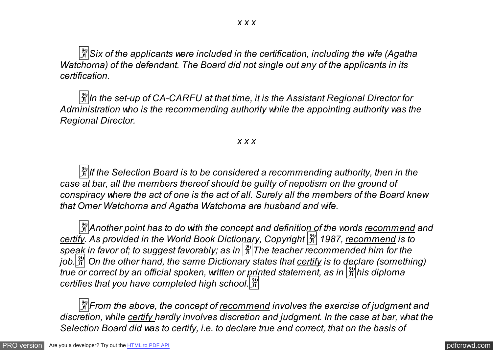�*Six of the applicants were included in the certification, including the wife (Agatha Watchorna) of the defendant. The Board did not single out any of the applicants in its certification.* 

 $\frac{|\mathfrak{X}|}{|\mathfrak{X}|}$ In the set-up of CA-CARFU at that time, it is the Assistant Regional Director for *Administration who is the recommending authority while the appointing authority was the Regional Director.* 

#### *x x x*

 $\frac{|\mathfrak{X}|}{|\mathfrak{X}|}$  *if the Selection Board is to be considered a recommending authority, then in the case at bar, all the members thereof should be guilty of nepotism on the ground of conspiracy where the act of one is the act of all. Surely all the members of the Board knew that Omer Watchorna and Agatha Watchorna are husband and wife.* 

�*Another point has to do with the concept and definition of the words recommend and certify. As provided in the World Book Dictionary, Copyright* � *1987, recommend is to speak in favor of; to suggest favorably; as in* �*The teacher recommended him for the* job. $\frac{|\mathfrak{X}|}{|\mathfrak{X}|}$  On the other hand, the same Dictionary states that certify is to declare (something) *true or correct by an official spoken, written or printed statement, as in*  $\frac{\alpha}{\beta}$ his diploma *certifies that you have completed high school.*�

 $\frac{24}{31}$  *From the above, the concept of recommend involves the exercise of judgment and discretion, while certify hardly involves discretion and judgment. In the case at bar, what the Selection Board did was to certify, i.e. to declare true and correct, that on the basis of*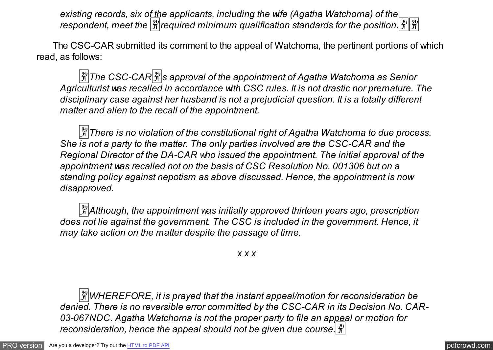*existing records, six of the applicants, including the wife (Agatha Watchorna) of the respondent, meet the*  $\frac{2}{3}$  required minimum qualification standards for the position.  $\frac{2}{3}$ 

 The CSC-CAR submitted its comment to the appeal of Watchorna, the pertinent portions of which read, as follows:

�*The CSC-CAR*�*s approval of the appointment of Agatha Watchorna as Senior Agriculturist was recalled in accordance with CSC rules. It is not drastic nor premature. The disciplinary case against her husband is not a prejudicial question. It is a totally different matter and alien to the recall of the appointment.* 

 $\frac{|\mathfrak{X}|}{|\mathcal{X}|}$ There is no violation of the constitutional right of Agatha Watchorna to due process. *She is not a party to the matter. The only parties involved are the CSC-CAR and the Regional Director of the DA-CAR who issued the appointment. The initial approval of the appointment was recalled not on the basis of CSC Resolution No. 001306 but on a standing policy against nepotism as above discussed. Hence, the appointment is now disapproved.* 

�*Although, the appointment was initially approved thirteen years ago, prescription does not lie against the government. The CSC is included in the government. Hence, it may take action on the matter despite the passage of time.* 

*x x x*

�*WHEREFORE, it is prayed that the instant appeal/motion for reconsideration be denied. There is no reversible error committed by the CSC-CAR in its Decision No. CAR-03-067NDC. Agatha Watchorna is not the proper party to file an appeal or motion for reconsideration, hence the appeal should not be given due course.* $\frac{29}{21}$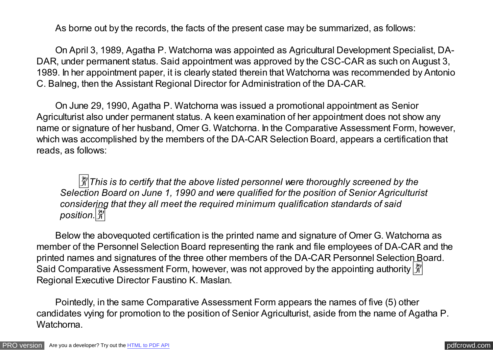As borne out by the records, the facts of the present case may be summarized, as follows:

 On April 3, 1989, Agatha P. Watchorna was appointed as Agricultural Development Specialist, DA-DAR, under permanent status. Said appointment was approved by the CSC-CAR as such on August 3, 1989. In her appointment paper, it is clearly stated therein that Watchorna was recommended by Antonio C. Balneg, then the Assistant Regional Director for Administration of the DA-CAR.

 On June 29, 1990, Agatha P. Watchorna was issued a promotional appointment as Senior Agriculturist also under permanent status. A keen examination of her appointment does not show any name or signature of her husband, Omer G. Watchorna. In the Comparative Assessment Form, however, which was accomplished by the members of the DA-CAR Selection Board, appears a certification that reads, as follows:

 $\frac{24}{31}$ *This is to certify that the above listed personnel were thoroughly screened by the Selection Board on June 1, 1990 and were qualified for the position of Senior Agriculturist considering that they all meet the required minimum qualification standards of said position.*�

 Below the abovequoted certification is the printed name and signature of Omer G. Watchorna as member of the Personnel Selection Board representing the rank and file employees of DA-CAR and the printed names and signatures of the three other members of the DA-CAR Personnel Selection Board. Said Comparative Assessment Form, however, was not approved by the appointing authority  $\frac{129}{11}$ Regional Executive Director Faustino K. Maslan.

 Pointedly, in the same Comparative Assessment Form appears the names of five (5) other candidates vying for promotion to the position of Senior Agriculturist, aside from the name of Agatha P. Watchorna.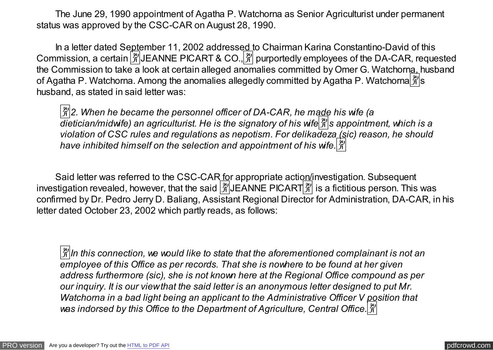The June 29, 1990 appointment of Agatha P. Watchorna as Senior Agriculturist under permanent status was approved by the CSC-CAR on August 28, 1990.

In a letter dated September 11, 2002 addressed to Chairman Karina Constantino-David of this Commission, a certain  $\frac{[2]}{[1]}$  JEANNE PICART & CO.,  $\frac{[2]}{[1]}$  purportedly employees of the DA-CAR, requested the Commission to take a look at certain alleged anomalies committed by Omer G. Watchorna, husband of Agatha P. Watchorna. Among the anomalies allegedly committed by Agatha P. Watchorna  $\frac{1}{2}$ 's husband, as stated in said letter was:

�*2. When he became the personnel officer of DA-CAR, he made his wife (a dietician/midwife) an agriculturist. He is the signatory of his wife*�*s appointment, which is a violation of CSC rules and regulations as nepotism. For delikadeza (sic) reason, he should have inhibited himself on the selection and appointment of his wife.*�

Said letter was referred to the CSC-CAR for appropriate action/investigation. Subsequent investigation revealed, however, that the said  $\frac{[2]}{[1]}$  JEANNE PICART  $\frac{[2]}{[1]}$  is a fictitious person. This was confirmed by Dr. Pedro Jerry D. Baliang, Assistant Regional Director for Administration, DA-CAR, in his letter dated October 23, 2002 which partly reads, as follows:

�*In this connection, we would like to state that the aforementioned complainant is not an employee of this Office as per records. That she is nowhere to be found at her given address furthermore (sic), she is not known here at the Regional Office compound as per our inquiry. It is our view that the said letter is an anonymous letter designed to put Mr. Watchorna in a bad light being an applicant to the Administrative Officer V position that was indorsed by this Office to the Department of Agriculture, Central Office.*�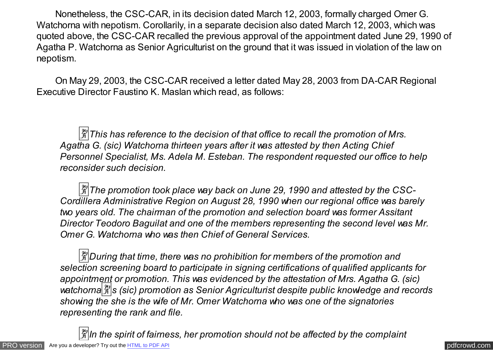Nonetheless, the CSC-CAR, in its decision dated March 12, 2003, formally charged Omer G. Watchorna with nepotism. Corollarily, in a separate decision also dated March 12, 2003, which was quoted above, the CSC-CAR recalled the previous approval of the appointment dated June 29, 1990 of Agatha P. Watchorna as Senior Agriculturist on the ground that it was issued in violation of the law on nepotism.

 On May 29, 2003, the CSC-CAR received a letter dated May 28, 2003 from DA-CAR Regional Executive Director Faustino K. Maslan which read, as follows:

 $\frac{1}{21}$  This has reference to the decision of that office to recall the promotion of Mrs. *Agatha G. (sic) Watchorna thirteen years after it was attested by then Acting Chief Personnel Specialist, Ms. Adela M. Esteban. The respondent requested our office to help reconsider such decision.* 

 $\frac{3}{4}$ The promotion took place way back on June 29, 1990 and attested by the CSC-*Cordillera Administrative Region on August 28, 1990 when our regional office was barely two years old. The chairman of the promotion and selection board was former Assitant Director Teodoro Baguilat and one of the members representing the second level was Mr. Omer G. Watchorna who was then Chief of General Services.* 

�*During that time, there was no prohibition for members of the promotion and selection screening board to participate in signing certifications of qualified applicants for appointment or promotion. This was evidenced by the attestation of Mrs. Agatha G. (sic)* watchorna<sup> $\frac{2\pi}{3}$  (sic) promotion as Senior Agriculturist despite public knowledge and records</sup> *showing the she is the wife of Mr. Omer Watchorna who was one of the signatories representing the rank and file.* 

[PRO version](http://pdfcrowd.com/customize/) Are you a developer? Try out th[e HTML to PDF API](http://pdfcrowd.com/html-to-pdf-api/?ref=pdf) contract the contract of the HTML to PDF API [pdfcrowd.com](http://pdfcrowd.com)  $\frac{3}{2}$ ln the spirit of fairness, her promotion should not be affected by the complaint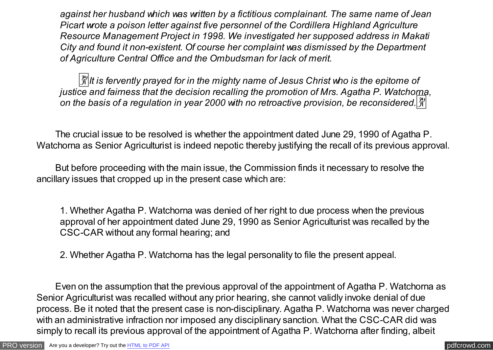*against her husband which was written by a fictitious complainant. The same name of Jean Picart wrote a poison letter against five personnel of the Cordillera Highland Agriculture Resource Management Project in 1998. We investigated her supposed address in Makati City and found it non-existent. Of course her complaint was dismissed by the Department of Agriculture Central Office and the Ombudsman for lack of merit.* 

 $\frac{20}{31}$ *It is fervently prayed for in the mighty name of Jesus Christ who is the epitome of justice and fairness that the decision recalling the promotion of Mrs. Agatha P. Watchorna, on the basis of a regulation in year 2000 with no retroactive provision, be reconsidered.*�

 The crucial issue to be resolved is whether the appointment dated June 29, 1990 of Agatha P. Watchorna as Senior Agriculturist is indeed nepotic thereby justifying the recall of its previous approval.

 But before proceeding with the main issue, the Commission finds it necessary to resolve the ancillary issues that cropped up in the present case which are:

1. Whether Agatha P. Watchorna was denied of her right to due process when the previous approval of her appointment dated June 29, 1990 as Senior Agriculturist was recalled by the CSC-CAR without any formal hearing; and

2. Whether Agatha P. Watchorna has the legal personality to file the present appeal.

 Even on the assumption that the previous approval of the appointment of Agatha P. Watchorna as Senior Agriculturist was recalled without any prior hearing, she cannot validly invoke denial of due process. Be it noted that the present case is non-disciplinary. Agatha P. Watchorna was never charged with an administrative infraction nor imposed any disciplinary sanction. What the CSC-CAR did was simply to recall its previous approval of the appointment of Agatha P. Watchorna after finding, albeit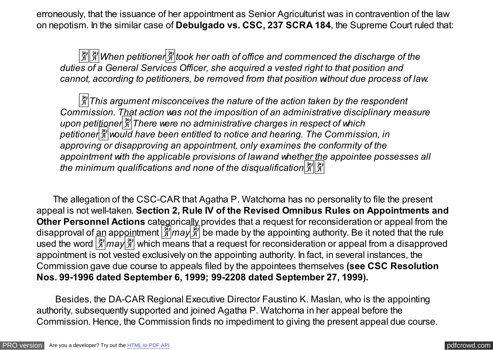erroneously, that the issuance of her appointment as Senior Agriculturist was in contravention of the law on nepotism. In the similar case of **Debulgado vs. CSC, 237 SCRA 184**, the Supreme Court ruled that:

 $\frac{|\mathcal{X}|}{|\mathcal{X}|}$ **When petitioner** $\frac{|\mathcal{X}|}{|\mathcal{X}|}$  **took her oath of office and commenced the discharge of the** *duties of a General Services Officer, she acquired a vested right to that position and cannot, according to petitioners, be removed from that position without due process of law.* 

 $\frac{12}{3}$  This argument misconceives the nature of the action taken by the respondent *Commission. That action was not the imposition of an administrative disciplinary measure upon petitioner*�*There were no administrative charges in respect of which petitioner*�*would have been entitled to notice and hearing. The Commission, in approving or disapproving an appointment, only examines the conformity of the appointment with the applicable provisions of law and whether the appointee possesses all* the minimum qualifications and none of the disqualification  $\frac{\alpha}{\beta}$ 

 The allegation of the CSC-CAR that Agatha P. Watchorna has no personality to file the present appeal is not well-taken. **Section 2, Rule IV of the Revised Omnibus Rules on Appointments and Other Personnel Actions** categorically provides that a request for reconsideration or appeal from the disapproval of an appointment  $\frac{3}{4}$  may  $\frac{3}{4}$  be made by the appointing authority. Be it noted that the rule used the word  $\frac{20}{3}$  may  $\frac{20}{3}$  which means that a request for reconsideration or appeal from a disapproved appointment is not vested exclusively on the appointing authority. In fact, in several instances, the Commission gave due course to appeals filed by the appointees themselves **(see CSC Resolution Nos. 99-1996 dated September 6, 1999; 99-2208 dated September 27, 1999).**

 Besides, the DA-CAR Regional Executive Director Faustino K. Maslan, who is the appointing authority, subsequently supported and joined Agatha P. Watchorna in her appeal before the Commission. Hence, the Commission finds no impediment to giving the present appeal due course.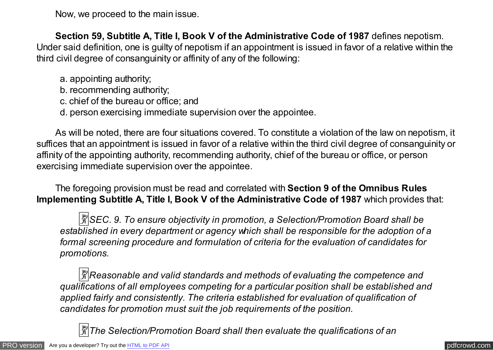Now, we proceed to the main issue.

 **Section 59, Subtitle A, Title I, Book V of the Administrative Code of 1987** defines nepotism. Under said definition, one is guilty of nepotism if an appointment is issued in favor of a relative within the third civil degree of consanguinity or affinity of any of the following:

- a. appointing authority;
- b. recommending authority;
- c. chief of the bureau or office; and
- d. person exercising immediate supervision over the appointee.

 As will be noted, there are four situations covered. To constitute a violation of the law on nepotism, it suffices that an appointment is issued in favor of a relative within the third civil degree of consanguinity or affinity of the appointing authority, recommending authority, chief of the bureau or office, or person exercising immediate supervision over the appointee.

 The foregoing provision must be read and correlated with **Section 9 of the Omnibus Rules Implementing Subtitle A, Title I, Book V of the Administrative Code of 1987** which provides that:

 $\frac{24}{31}$ *SEC. 9. To ensure objectivity in promotion, a Selection/Promotion Board shall be established in every department or agency which shall be responsible for the adoption of a formal screening procedure and formulation of criteria for the evaluation of candidates for promotions.* 

�*Reasonable and valid standards and methods of evaluating the competence and qualifications of all employees competing for a particular position shall be established and applied fairly and consistently. The criteria established for evaluation of qualification of candidates for promotion must suit the job requirements of the position.* 

�*The Selection/Promotion Board shall then evaluate the qualifications of an*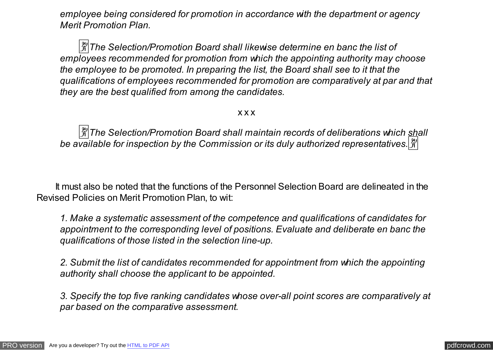*employee being considered for promotion in accordance with the department or agency Merit Promotion Plan.* 

�*The Selection/Promotion Board shall likewise determine en banc the list of employees recommended for promotion from which the appointing authority may choose the employee to be promoted. In preparing the list, the Board shall see to it that the qualifications of employees recommended for promotion are comparatively at par and that they are the best qualified from among the candidates.* 

#### x x x

<sup>[発</sup>] The Selection/Promotion Board shall maintain records of deliberations which shall be available for inspection by the Commission or its duly authorized representatives.  $\frac{1}{21}$ 

 It must also be noted that the functions of the Personnel Selection Board are delineated in the Revised Policies on Merit Promotion Plan, to wit:

*1. Make a systematic assessment of the competence and qualifications of candidates for appointment to the corresponding level of positions. Evaluate and deliberate en banc the qualifications of those listed in the selection line-up.* 

*2. Submit the list of candidates recommended for appointment from which the appointing authority shall choose the applicant to be appointed.* 

*3. Specify the top five ranking candidates whose over-all point scores are comparatively at par based on the comparative assessment.*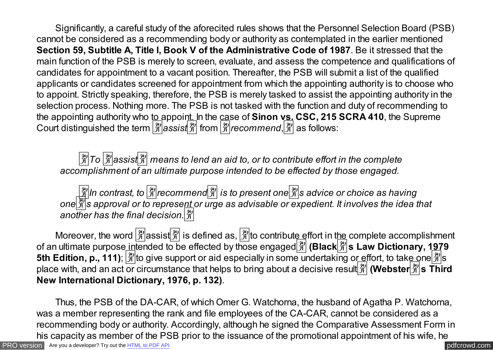Significantly, a careful study of the aforecited rules shows that the Personnel Selection Board (PSB) cannot be considered as a recommending body or authority as contemplated in the earlier mentioned **Section 59, Subtitle A, Title I, Book V of the Administrative Code of 1987**. Be it stressed that the main function of the PSB is merely to screen, evaluate, and assess the competence and qualifications of candidates for appointment to a vacant position. Thereafter, the PSB will submit a list of the qualified applicants or candidates screened for appointment from which the appointing authority is to choose who to appoint. Strictly speaking, therefore, the PSB is merely tasked to assist the appointing authority in the selection process. Nothing more. The PSB is not tasked with the function and duty of recommending to the appointing authority who to appoint. In the case of **Sinon vs. CSC, 215 SCRA 410**, the Supreme Court distinguished the term �*assist*� from �*recommend*,� as follows:

 $\frac{X}{X}$  To  $\frac{X}{X}$  assist  $\frac{X}{X}$  means to lend an aid to, or to contribute effort in the complete *accomplishment of an ultimate purpose intended to be effected by those engaged.* 

�*In contrast, to* �*recommend*� *is to present one*�*s advice or choice as having one*�*s approval or to represent or urge as advisable or expedient. It involves the idea that another has the final decision.*�

Moreover, the word  $\left[\frac{m}{N}\right]$  assist  $\left[\frac{m}{N}\right]$  is defined as,  $\left[\frac{m}{N}\right]$  to contribute effort in the complete accomplishment of an ultimate purpose intended to be effected by those engaged  $\frac{29}{7}$  (Black  $\frac{29}{7}$ s Law Dictionary, 1979 5th Edition, p., 111);  $\frac{|\mathcal{X}|}{|\mathcal{Y}|}$  to give support or aid especially in some undertaking or effort, to take one  $\frac{|\mathcal{X}|}{|\mathcal{Y}|}$ s place with, and an act or circumstance that helps to bring about a decisive result  $\frac{3}{2}$  (**Webster**  $\frac{29}{21}$  s Third **New International Dictionary, 1976, p. 132)**.

 Thus, the PSB of the DA-CAR, of which Omer G. Watchorna, the husband of Agatha P. Watchorna, was a member representing the rank and file employees of the CA-CAR, cannot be considered as a recommending body or authority. Accordingly, although he signed the Comparative Assessment Form in his capacity as member of the PSB prior to the issuance of the promotional appointment of his wife, he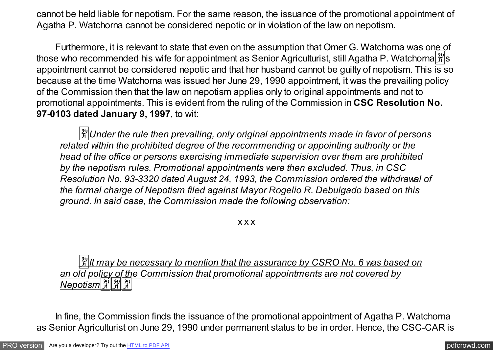cannot be held liable for nepotism. For the same reason, the issuance of the promotional appointment of Agatha P. Watchorna cannot be considered nepotic or in violation of the law on nepotism.

Furthermore, it is relevant to state that even on the assumption that Omer G. Watchorna was one of those who recommended his wife for appointment as Senior Agriculturist, still Agatha P. Watchorna  $\frac{\mathbb{R}}{2}$ 's appointment cannot be considered nepotic and that her husband cannot be guilty of nepotism. This is so because at the time Watchorna was issued her June 29, 1990 appointment, it was the prevailing policy of the Commission then that the law on nepotism applies only to original appointments and not to promotional appointments. This is evident from the ruling of the Commission in **CSC Resolution No. 97-0103 dated January 9, 1997**, to wit:

�*Under the rule then prevailing, only original appointments made in favor of persons related within the prohibited degree of the recommending or appointing authority or the head of the office or persons exercising immediate supervision over them are prohibited by the nepotism rules. Promotional appointments were then excluded. Thus, in CSC Resolution No. 93-3320 dated August 24, 1993, the Commission ordered the withdrawal of the formal charge of Nepotism filed against Mayor Rogelio R. Debulgado based on this ground. In said case, the Commission made the following observation:*

x x x

 $\frac{3}{2}$ lt may be necessary to mention that the assurance by CSRO No. 6 was based on *an old policy of the Commission that promotional appointments are not covered by* <u>*Nepotism क्षे| क्षे| क्षे|</u></u>* 

 In fine, the Commission finds the issuance of the promotional appointment of Agatha P. Watchorna as Senior Agriculturist on June 29, 1990 under permanent status to be in order. Hence, the CSC-CAR is